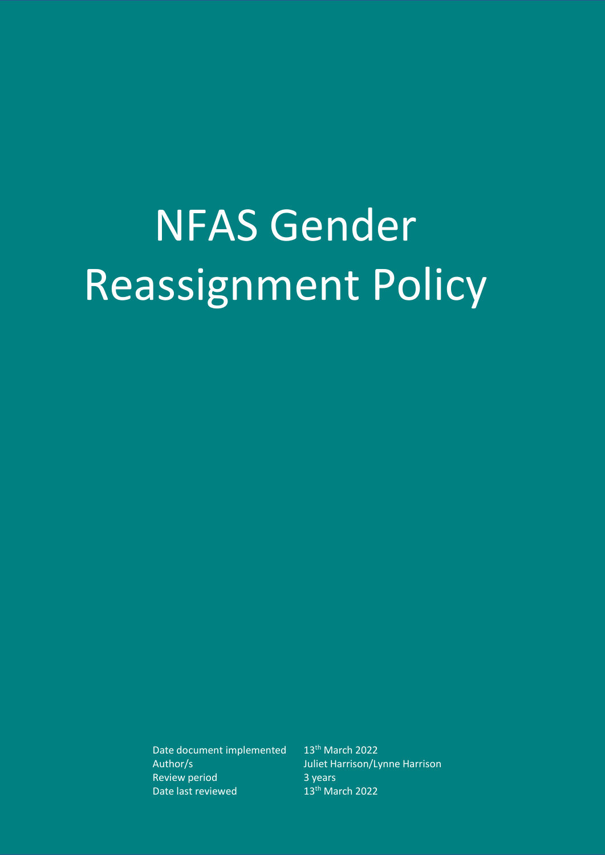# NFAS Gender Reassignment Policy

Date document implemented 13<sup>th</sup> March 2022 Review period 3 years Date last reviewed 13<sup>th</sup> March 2022

Author/s Juliet Harrison/Lynne Harrison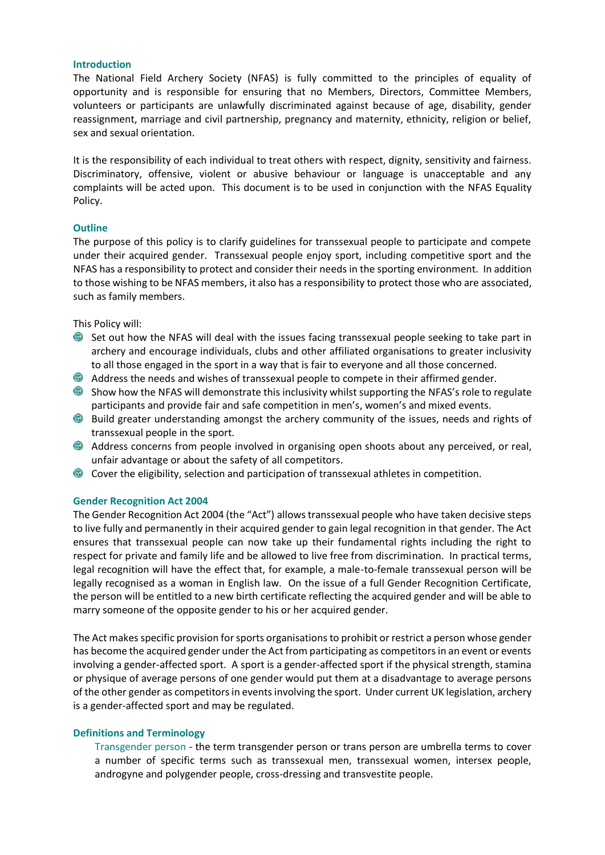#### **Introduction**

The National Field Archery Society (NFAS) is fully committed to the principles of equality of opportunity and is responsible for ensuring that no Members, Directors, Committee Members, volunteers or participants are unlawfully discriminated against because of age, disability, gender reassignment, marriage and civil partnership, pregnancy and maternity, ethnicity, religion or belief, sex and sexual orientation.

It is the responsibility of each individual to treat others with respect, dignity, sensitivity and fairness. Discriminatory, offensive, violent or abusive behaviour or language is unacceptable and any complaints will be acted upon. This document is to be used in conjunction with the NFAS Equality Policy.

## **Outline**

The purpose of this policy is to clarify guidelines for transsexual people to participate and compete under their acquired gender. Transsexual people enjoy sport, including competitive sport and the NFAS has a responsibility to protect and consider their needs in the sporting environment. In addition to those wishing to be NFAS members, it also has a responsibility to protect those who are associated, such as family members.

This Policy will:

- Set out how the NFAS will deal with the issues facing transsexual people seeking to take part in archery and encourage individuals, clubs and other affiliated organisations to greater inclusivity to all those engaged in the sport in a way that is fair to everyone and all those concerned.
- Address the needs and wishes of transsexual people to compete in their affirmed gender.
- Show how the NFAS will demonstrate this inclusivity whilst supporting the NFAS's role to regulate participants and provide fair and safe competition in men's, women's and mixed events.
- Build greater understanding amongst the archery community of the issues, needs and rights of transsexual people in the sport.
- Address concerns from people involved in organising open shoots about any perceived, or real, unfair advantage or about the safety of all competitors.
- Cover the eligibility, selection and participation of transsexual athletes in competition.

#### **Gender Recognition Act 2004**

The Gender Recognition Act 2004 (the "Act") allows transsexual people who have taken decisive steps to live fully and permanently in their acquired gender to gain legal recognition in that gender. The Act ensures that transsexual people can now take up their fundamental rights including the right to respect for private and family life and be allowed to live free from discrimination. In practical terms, legal recognition will have the effect that, for example, a male-to-female transsexual person will be legally recognised as a woman in English law. On the issue of a full Gender Recognition Certificate, the person will be entitled to a new birth certificate reflecting the acquired gender and will be able to marry someone of the opposite gender to his or her acquired gender.

The Act makes specific provision for sports organisations to prohibit or restrict a person whose gender has become the acquired gender under the Act from participating as competitors in an event or events involving a gender-affected sport. A sport is a gender-affected sport if the physical strength, stamina or physique of average persons of one gender would put them at a disadvantage to average persons of the other gender as competitors in events involving the sport. Under current UK legislation, archery is a gender-affected sport and may be regulated.

### **Definitions and Terminology**

Transgender person - the term transgender person or trans person are umbrella terms to cover a number of specific terms such as transsexual men, transsexual women, intersex people, androgyne and polygender people, cross-dressing and transvestite people.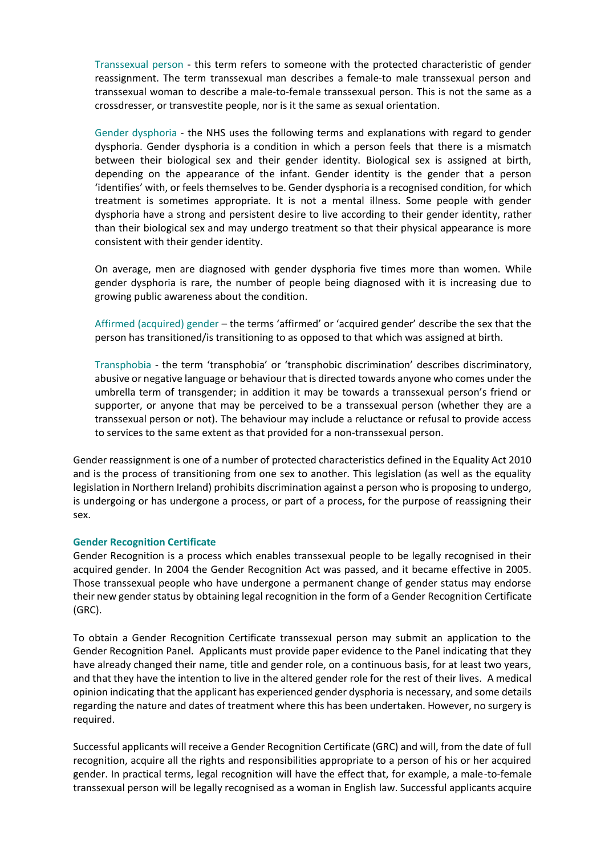Transsexual person - this term refers to someone with the protected characteristic of gender reassignment. The term transsexual man describes a female‐to male transsexual person and transsexual woman to describe a male‐to‐female transsexual person. This is not the same as a crossdresser, or transvestite people, nor is it the same as sexual orientation.

Gender dysphoria - the NHS uses the following terms and explanations with regard to gender dysphoria. Gender dysphoria is a condition in which a person feels that there is a mismatch between their biological sex and their gender identity. Biological sex is assigned at birth, depending on the appearance of the infant. Gender identity is the gender that a person 'identifies' with, or feels themselves to be. Gender dysphoria is a recognised condition, for which treatment is sometimes appropriate. It is not a mental illness. Some people with gender dysphoria have a strong and persistent desire to live according to their gender identity, rather than their biological sex and may undergo treatment so that their physical appearance is more consistent with their gender identity.

On average, men are diagnosed with gender dysphoria five times more than women. While gender dysphoria is rare, the number of people being diagnosed with it is increasing due to growing public awareness about the condition.

Affirmed (acquired) gender – the terms 'affirmed' or 'acquired gender' describe the sex that the person has transitioned/is transitioning to as opposed to that which was assigned at birth.

Transphobia - the term 'transphobia' or 'transphobic discrimination' describes discriminatory, abusive or negative language or behaviour that is directed towards anyone who comes under the umbrella term of transgender; in addition it may be towards a transsexual person's friend or supporter, or anyone that may be perceived to be a transsexual person (whether they are a transsexual person or not). The behaviour may include a reluctance or refusal to provide access to services to the same extent as that provided for a non‐transsexual person.

Gender reassignment is one of a number of protected characteristics defined in the Equality Act 2010 and is the process of transitioning from one sex to another. This legislation (as well as the equality legislation in Northern Ireland) prohibits discrimination against a person who is proposing to undergo, is undergoing or has undergone a process, or part of a process, for the purpose of reassigning their sex.

# **Gender Recognition Certificate**

Gender Recognition is a process which enables transsexual people to be legally recognised in their acquired gender. In 2004 the Gender Recognition Act was passed, and it became effective in 2005. Those transsexual people who have undergone a permanent change of gender status may endorse their new gender status by obtaining legal recognition in the form of a Gender Recognition Certificate (GRC).

To obtain a Gender Recognition Certificate transsexual person may submit an application to the Gender Recognition Panel. Applicants must provide paper evidence to the Panel indicating that they have already changed their name, title and gender role, on a continuous basis, for at least two years, and that they have the intention to live in the altered gender role for the rest of their lives. A medical opinion indicating that the applicant has experienced gender dysphoria is necessary, and some details regarding the nature and dates of treatment where this has been undertaken. However, no surgery is required.

Successful applicants will receive a Gender Recognition Certificate (GRC) and will, from the date of full recognition, acquire all the rights and responsibilities appropriate to a person of his or her acquired gender. In practical terms, legal recognition will have the effect that, for example, a male-to-female transsexual person will be legally recognised as a woman in English law. Successful applicants acquire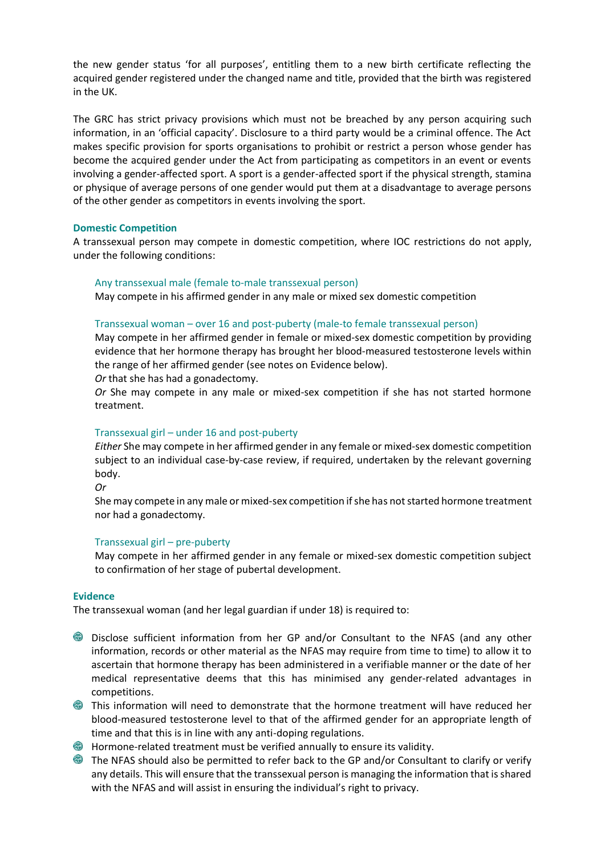the new gender status 'for all purposes', entitling them to a new birth certificate reflecting the acquired gender registered under the changed name and title, provided that the birth was registered in the UK.

The GRC has strict privacy provisions which must not be breached by any person acquiring such information, in an 'official capacity'. Disclosure to a third party would be a criminal offence. The Act makes specific provision for sports organisations to prohibit or restrict a person whose gender has become the acquired gender under the Act from participating as competitors in an event or events involving a gender-affected sport. A sport is a gender-affected sport if the physical strength, stamina or physique of average persons of one gender would put them at a disadvantage to average persons of the other gender as competitors in events involving the sport.

## **Domestic Competition**

A transsexual person may compete in domestic competition, where IOC restrictions do not apply, under the following conditions:

#### Any transsexual male (female to-male transsexual person)

May compete in his affirmed gender in any male or mixed sex domestic competition

#### Transsexual woman – over 16 and post‐puberty (male‐to female transsexual person)

May compete in her affirmed gender in female or mixed‐sex domestic competition by providing evidence that her hormone therapy has brought her blood‐measured testosterone levels within the range of her affirmed gender (see notes on Evidence below).

*Or* that she has had a gonadectomy.

*Or* She may compete in any male or mixed‐sex competition if she has not started hormone treatment.

#### Transsexual girl – under 16 and post‐puberty

*Either* She may compete in her affirmed gender in any female or mixed-sex domestic competition subject to an individual case-by-case review, if required, undertaken by the relevant governing body.

*Or*

She may compete in any male or mixed‐sex competition if she has not started hormone treatment nor had a gonadectomy.

#### Transsexual girl – pre‐puberty

May compete in her affirmed gender in any female or mixed‐sex domestic competition subject to confirmation of her stage of pubertal development.

#### **Evidence**

The transsexual woman (and her legal guardian if under 18) is required to:

- Disclose sufficient information from her GP and/or Consultant to the NFAS (and any other information, records or other material as the NFAS may require from time to time) to allow it to ascertain that hormone therapy has been administered in a verifiable manner or the date of her medical representative deems that this has minimised any gender‐related advantages in competitions.
- This information will need to demonstrate that the hormone treatment will have reduced her blood‐measured testosterone level to that of the affirmed gender for an appropriate length of time and that this is in line with any anti-doping regulations.
- **G** Hormone-related treatment must be verified annually to ensure its validity.
- The NFAS should also be permitted to refer back to the GP and/or Consultant to clarify or verify any details. This will ensure that the transsexual person is managing the information that is shared with the NFAS and will assist in ensuring the individual's right to privacy.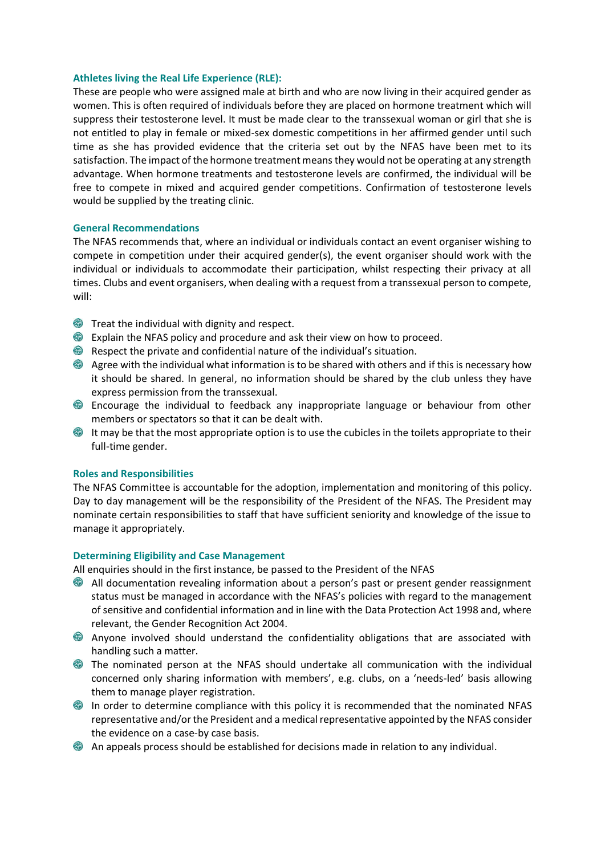#### **Athletes living the Real Life Experience (RLE):**

These are people who were assigned male at birth and who are now living in their acquired gender as women. This is often required of individuals before they are placed on hormone treatment which will suppress their testosterone level. It must be made clear to the transsexual woman or girl that she is not entitled to play in female or mixed-sex domestic competitions in her affirmed gender until such time as she has provided evidence that the criteria set out by the NFAS have been met to its satisfaction. The impact of the hormone treatment means they would not be operating at any strength advantage. When hormone treatments and testosterone levels are confirmed, the individual will be free to compete in mixed and acquired gender competitions. Confirmation of testosterone levels would be supplied by the treating clinic.

#### **General Recommendations**

The NFAS recommends that, where an individual or individuals contact an event organiser wishing to compete in competition under their acquired gender(s), the event organiser should work with the individual or individuals to accommodate their participation, whilst respecting their privacy at all times. Clubs and event organisers, when dealing with a request from a transsexual person to compete, will:

- **IF The individual with dignity and respect.**
- Explain the NFAS policy and procedure and ask their view on how to proceed.
- Respect the private and confidential nature of the individual's situation.
- Agree with the individual what information is to be shared with others and if this is necessary how it should be shared. In general, no information should be shared by the club unless they have express permission from the transsexual.
- Encourage the individual to feedback any inappropriate language or behaviour from other members or spectators so that it can be dealt with.
- $\bullet$  It may be that the most appropriate option is to use the cubicles in the toilets appropriate to their full-time gender.

#### **Roles and Responsibilities**

The NFAS Committee is accountable for the adoption, implementation and monitoring of this policy. Day to day management will be the responsibility of the President of the NFAS. The President may nominate certain responsibilities to staff that have sufficient seniority and knowledge of the issue to manage it appropriately.

#### **Determining Eligibility and Case Management**

All enquiries should in the first instance, be passed to the President of the NFAS

- All documentation revealing information about a person's past or present gender reassignment status must be managed in accordance with the NFAS's policies with regard to the management of sensitive and confidential information and in line with the Data Protection Act 1998 and, where relevant, the Gender Recognition Act 2004.
- Anyone involved should understand the confidentiality obligations that are associated with handling such a matter.
- The nominated person at the NFAS should undertake all communication with the individual concerned only sharing information with members', e.g. clubs, on a 'needs‐led' basis allowing them to manage player registration.
- In order to determine compliance with this policy it is recommended that the nominated NFAS representative and/or the President and a medical representative appointed by the NFAS consider the evidence on a case‐by case basis.
- An appeals process should be established for decisions made in relation to any individual.